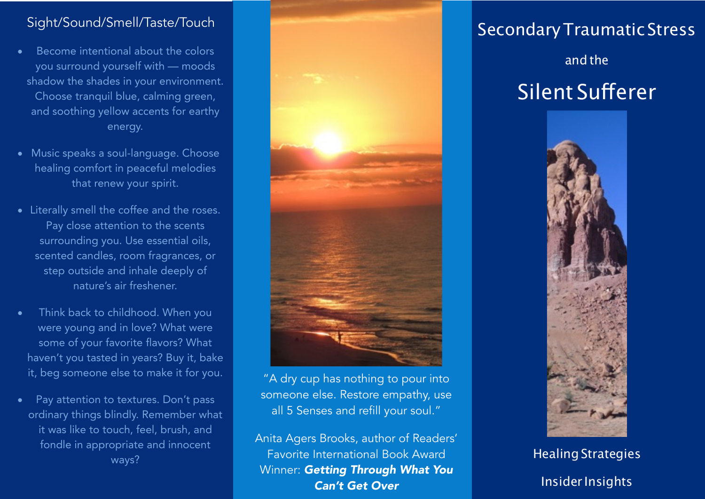## Sight/Sound/Smell/Taste/Touch

- Become intentional about the colors you surround yourself with — moods shadow the shades in your environment. Choose tranquil blue, calming green, and soothing yellow accents for earthy energy.
- Music speaks a soul-language. Choose healing comfort in peaceful melodies that renew your spirit.
- Literally smell the coffee and the roses. Pay close attention to the scents surrounding you. Use essential oils, scented candles, room fragrances, or step outside and inhale deeply of nature's air freshener.
- Think back to childhood. When you were young and in love? What were some of your favorite flavors? What haven't you tasted in years? Buy it, bake it, beg someone else to make it for you.
- Pay attention to textures. Don't pass ordinary things blindly. Remember what it was like to touch, feel, brush, and fondle in appropriate and innocent ways?



"A dry cup has nothing to pour into someone else. Restore empathy, use all 5 Senses and refill your soul."

Anita Agers Brooks, author of Readers' Favorite International Book Award Winner: *Getting Through What You Can't Get Over*

## SecondaryTraumatic Stress

## and the Silent Suferer



**Healing Strategies** Insider Insights